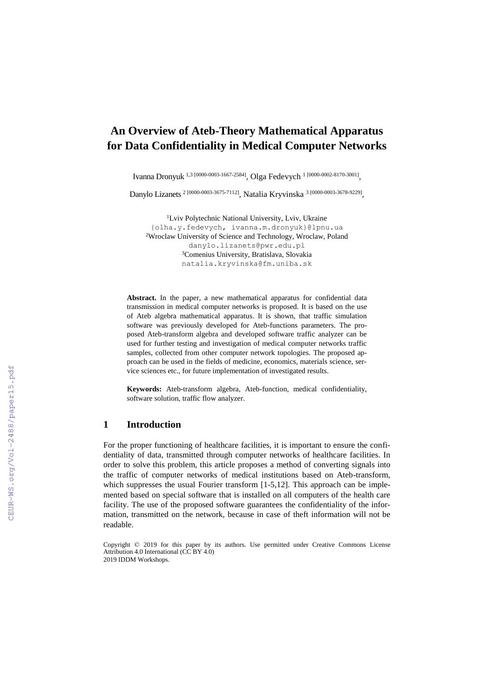# **An Overview of Ateb-Theory Mathematical Apparatus for Data Confidentiality in Medical Computer Networks**

Ivanna Dronyuk<sup>1,3 [0000-0003-1667-2584]</sup>, Olga Fedevych<sup>1 [0000-0002-8170-3001]</sup>,

Danylo Lizanets<sup>2</sup><sup>[0000-0003-3675-7112]</sup>, Natalia Kryvinska<sup>3</sup><sup>[0000-0003-3678-9229]</sup>,

<sup>1</sup>Lviv Polytechnic National University, Lviv, Ukraine {olha.y.fedevych, ivanna.m.dronyuk}@lpnu.ua <sup>2</sup>Wroclaw University of Science and Technology, Wroclaw, Poland [danylo.lizanets@pwr.edu.pl](mailto:danylo.lizanets@pwr.edu.pl) <sup>3</sup>Comenius University, Bratislava, Slovakia [natalia.kryvinska@fm.uniba.sk](mailto:natalia.kryvinska@fm.uniba.sk)

**Abstract.** In the paper, a new mathematical apparatus for confidential data transmission in medical computer networks is proposed. It is based on the use of Ateb algebra mathematical apparatus. It is shown, that traffic simulation software was previously developed for Ateb-functions parameters. The proposed Ateb-transform algebra and developed software traffic analyzer can be used for further testing and investigation of medical computer networks traffic samples, collected from other computer network topologies. The proposed approach can be used in the fields of medicine, economics, materials science, service sciences etc., for future implementation of investigated results.

**Keywords:** Ateb-transform algebra, Ateb-function, medical confidentiality, software solution, traffic flow analyzer.

# **1 Introduction**

For the proper functioning of healthcare facilities, it is important to ensure the confidentiality of data, transmitted through computer networks of healthcare facilities. In order to solve this problem, this article proposes a method of converting signals into the traffic of computer networks of medical institutions based on Ateb-transform, which suppresses the usual Fourier transform [1-5,12]. This approach can be implemented based on special software that is installed on all computers of the health care facility. The use of the proposed software guarantees the confidentiality of the information, transmitted on the network, because in case of theft information will not be readable.

Copyright © 2019 for this paper by its authors. Use permitted under Creative Commons License Attribution 4.0 International (CC BY 4.0) 2019 IDDM Workshops.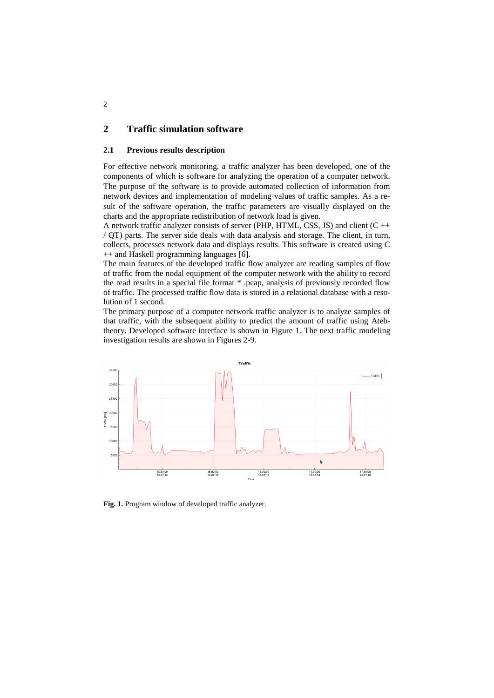# **2 Traffic simulation software**

### **2.1 Previous results description**

For effective network monitoring, a traffic analyzer has been developed, one of the components of which is software for analyzing the operation of a computer network. The purpose of the software is to provide automated collection of information from network devices and implementation of modeling values of traffic samples. As a result of the software operation, the traffic parameters are visually displayed on the charts and the appropriate redistribution of network load is given.

A network traffic analyzer consists of server (PHP, HTML, CSS, JS) and client (C ++ / QT) parts. The server side deals with data analysis and storage. The client, in turn, collects, processes network data and displays results. This software is created using C ++ and Haskell programming languages [6].

The main features of the developed traffic flow analyzer are reading samples of flow of traffic from the nodal equipment of the computer network with the ability to record the read results in a special file format \* .pcap, analysis of previously recorded flow of traffic. The processed traffic flow data is stored in a relational database with a resolution of 1 second.

The primary purpose of a computer network traffic analyzer is to analyze samples of that traffic, with the subsequent ability to predict the amount of traffic using Atebtheory. Developed software interface is shown in Figure 1. The next traffic modeling investigation results are shown in Figures 2-9.



**Fig. 1.** Program window of developed traffic analyzer.

2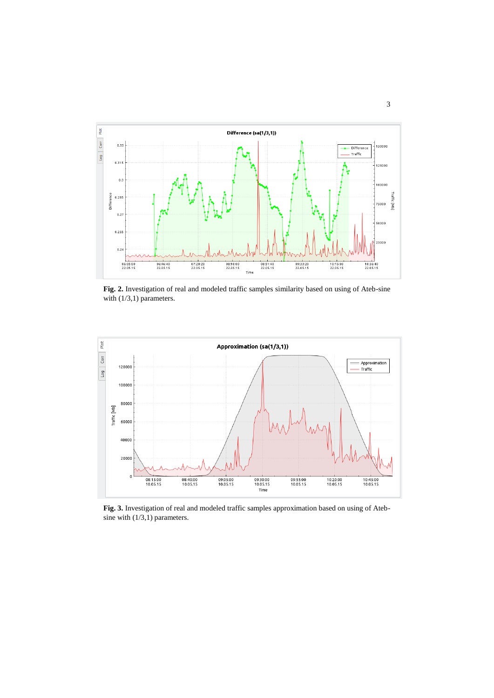

**Fig. 2.** Investigation of real and modeled traffic samples similarity based on using of Ateb-sine with  $(1/3,1)$  parameters.



**Fig. 3.** Investigation of real and modeled traffic samples approximation based on using of Atebsine with (1/3,1) parameters.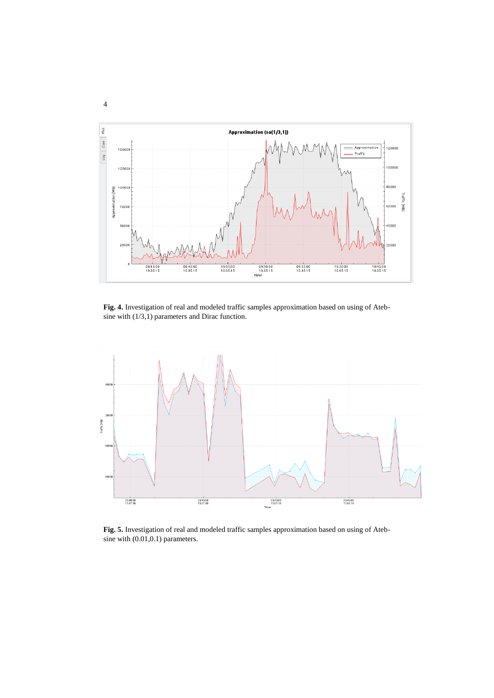

**Fig. 4.** Investigation of real and modeled traffic samples approximation based on using of Atebsine with (1/3,1) parameters and Dirac function.



**Fig. 5.** Investigation of real and modeled traffic samples approximation based on using of Atebsine with (0.01,0.1) parameters.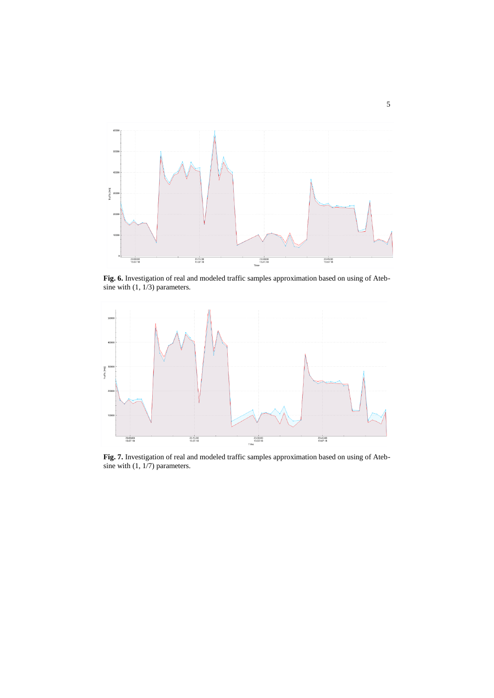

**Fig. 6.** Investigation of real and modeled traffic samples approximation based on using of Atebsine with  $(1, 1/3)$  parameters.



**Fig. 7.** Investigation of real and modeled traffic samples approximation based on using of Atebsine with (1, 1/7) parameters.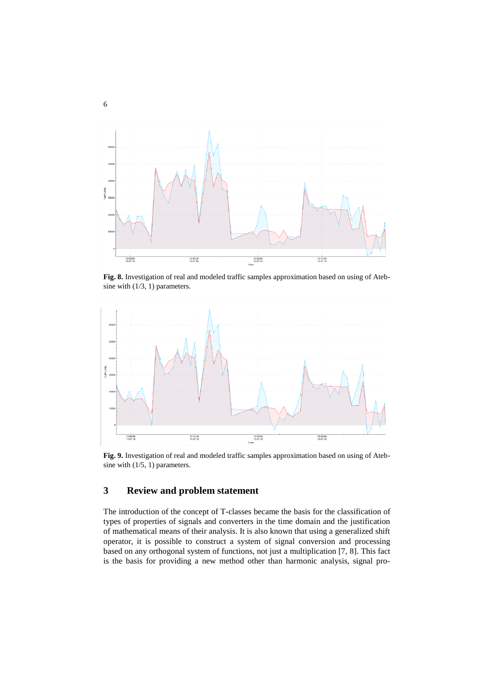

**Fig. 8.** Investigation of real and modeled traffic samples approximation based on using of Atebsine with (1/3, 1) parameters.



**Fig. 9.** Investigation of real and modeled traffic samples approximation based on using of Atebsine with (1/5, 1) parameters.

# **3 Review and problem statement**

The introduction of the concept of T-classes became the basis for the classification of types of properties of signals and converters in the time domain and the justification of mathematical means of their analysis. It is also known that using a generalized shift operator, it is possible to construct a system of signal conversion and processing based on any orthogonal system of functions, not just a multiplication [7, 8]. This fact is the basis for providing a new method other than harmonic analysis, signal pro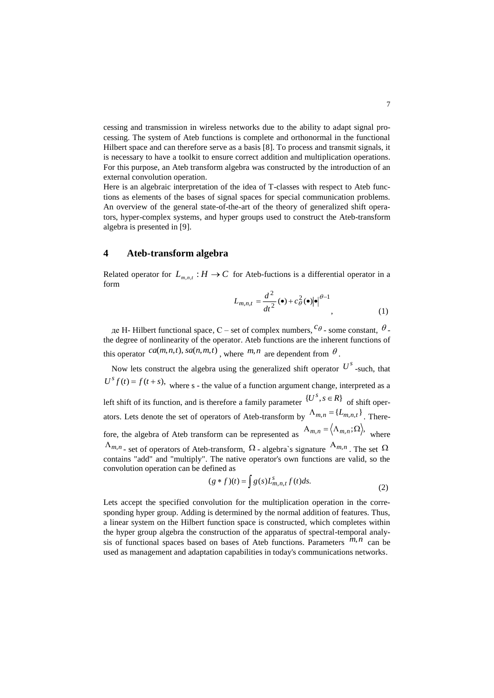cessing and transmission in wireless networks due to the ability to adapt signal processing. The system of Ateb functions is complete and orthonormal in the functional Hilbert space and can therefore serve as a basis [8]. To process and transmit signals, it is necessary to have a toolkit to ensure correct addition and multiplication operations. For this purpose, an Ateb transform algebra was constructed by the introduction of an external convolution operation.

Here is an algebraic interpretation of the idea of T-classes with respect to Ateb functions as elements of the bases of signal spaces for special communication problems. An overview of the general state-of-the-art of the theory of generalized shift operators, hyper-complex systems, and hyper groups used to construct the Ateb-transform algebra is presented in [9].

# **4 Ateb-transform algebra**

Related operator for  $L_{m,n,t}: H \to C$  for Ateb-fuctions is a differential operator in a form

$$
L_{m,n,t} = \frac{d^2}{dt^2} \left( \bullet \right) + c_\theta^2 \left( \bullet \right) \left| \bullet \right|^{ \theta - 1}, \tag{1}
$$

де H- Hilbert functional space, C – set of complex numbers,  ${}^{\mathcal{C}\theta}$  - some constant,  $\theta$  the degree of nonlinearity of the operator. Ateb functions are the inherent functions of this operator  $ca(m, n, t)$ ,  $sa(n, m, t)$ , where  $m, n$  are dependent from  $\theta$ .

Now lets construct the algebra using the generalized shift operator  $U^s$  -such, that  $U^s f(t) = f(t + s)$ , where s - the value of a function argument change, interpreted as a left shift of its function, and is therefore a family parameter  $\{U^s, s \in R\}$  of shift operators. Lets denote the set of operators of Ateb-transform by  $\Lambda_{m,n} = \{L_{m,n,t}\}\$ . Therefore, the algebra of Ateb transform can be represented as  $A_{m,n} = \langle \Lambda_{m,n}; \Omega \rangle$ , where  $\Lambda_{m,n}$  - set of operators of Ateb-transform,  $\Omega$  - algebra's signature  $A_{m,n}$ . The set  $\Omega$ contains "add" and "multiply". The native operator's own functions are valid, so the convolution operation can be defined as

$$
(g * f)(t) = \int g(s)L_{m,n,t}^s f(t)ds.
$$
 (2)

Lets accept the specified convolution for the multiplication operation in the corresponding hyper group. Adding is determined by the normal addition of features. Thus, a linear system on the Hilbert function space is constructed, which completes within the hyper group algebra the construction of the apparatus of spectral-temporal analysis of functional spaces based on bases of Ateb functions. Parameters  $^{m,n}$  can be used as management and adaptation capabilities in today's communications networks.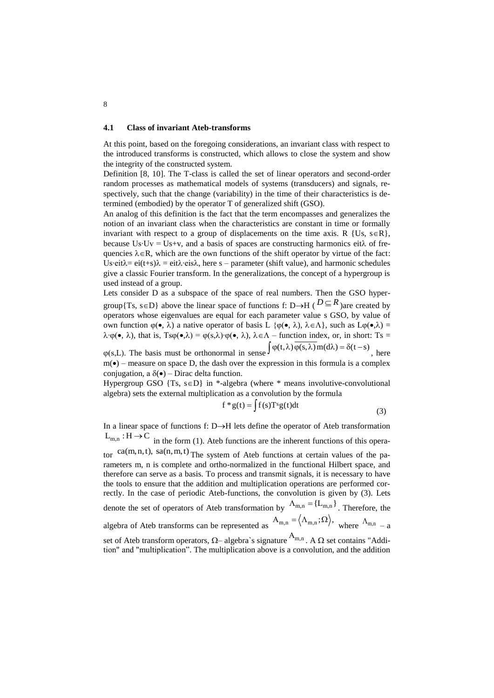#### **4.1 Class of invariant Ateb-transforms**

At this point, based on the foregoing considerations, an invariant class with respect to the introduced transforms is constructed, which allows to close the system and show the integrity of the constructed system.

Definition [8, 10]. The T-class is called the set of linear operators and second-order random processes as mathematical models of systems (transducers) and signals, respectively, such that the change (variability) in the time of their characteristics is determined (embodied) by the operator T of generalized shift (GSO).

An analog of this definition is the fact that the term encompasses and generalizes the notion of an invariant class when the characteristics are constant in time or formally invariant with respect to a group of displacements on the time axis. R {Us, s $\in$ R}, because Us∙Uv = Us+v, and a basis of spaces are constructing harmonics eit $\lambda$  of frequencies  $\lambda \in \mathbb{R}$ , which are the own functions of the shift operator by virtue of the fact: Us∙eit $\lambda$ = ei $\lambda$ +eis $\lambda$  = eit $\lambda$ ⋅eis $\lambda$ , here s – parameter (shift value), and harmonic schedules give a classic Fourier transform. In the generalizations, the concept of a hypergroup is used instead of a group.

Lets consider D as a subspace of the space of real numbers. Then the GSO hypergroup{Ts, s $\in$ D} above the linear space of functions f: D $\rightarrow$ H ( $D \subseteq R$ )are created by operators whose eigenvalues are equal for each parameter value s GSO, by value of own function  $φ(•, λ)$  a native operator of basis L { $φ(•, λ)$ ,  $λ ∈ Λ$ }, such as L $φ(•, λ) =$  $\lambda \cdot \varphi(\bullet, \lambda)$ , that is,  $T\mathsf{sg}(\bullet,\lambda) = \varphi(s,\lambda)\cdot \varphi(\bullet,\lambda)$ ,  $\lambda \in \Lambda$  – function index, or, in short: Ts =

 $\varphi(s,L)$ . The basis must be orthonormal in sense  $\int \varphi(t,\lambda) \overline{\varphi(s,\lambda)} \, m(d\lambda) = \delta(t-s)$ , here  $m(\bullet)$  – measure on space D, the dash over the expression in this formula is a complex conjugation, a  $\delta(\bullet)$  – Dirac delta function.

Hypergroup GSO  $\{Ts, s \in D\}$  in \*-algebra (where \* means involutive-convolutional algebra) sets the external multiplication as a convolution by the formula

$$
f * g(t) = \int f(s)T^{s}g(t)dt
$$
\n(3)

In a linear space of functions f:  $D \rightarrow H$  lets define the operator of Ateb transformation  $L_{m,n}$ :  $H \rightarrow C$  in the form (1). Ateb functions are the inherent functions of this operator ca(m,n,t), sa(n,m,t) The system of Ateb functions at certain values of the parameters m, n is complete and ortho-normalized in the functional Hilbert space, and therefore can serve as a basis. To process and transmit signals, it is necessary to have the tools to ensure that the addition and multiplication operations are performed correctly. In the case of periodic Ateb-functions, the convolution is given by (3). Lets denote the set of operators of Ateb transformation by  $\Lambda_{m,n} = \{L_{m,n}\}\.$  Therefore, the algebra of Ateb transforms can be represented as  $A_{m,n} = \langle \Lambda_{m,n}; \Omega \rangle$ , where  $\Lambda_{m,n} = a$ set of Ateb transform operators,  $\Omega$ – algebra`s signature  $A_{m,n}$ . A  $\Omega$  set contains "Addi-

tion" and "multiplication". The multiplication above is a convolution, and the addition

8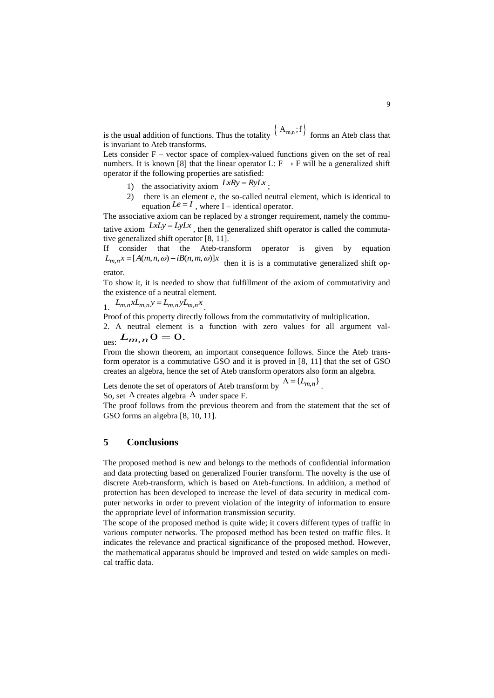is the usual addition of functions. Thus the totality  $\{A_{m,n};f\}$  forms an Ateb class that is invariant to Ateb transforms.

Lets consider  $F -$  vector space of complex-valued functions given on the set of real numbers. It is known [8] that the linear operator L:  $F \rightarrow F$  will be a generalized shift operator if the following properties are satisfied:

- 1) the associativity axiom  $LxRy = RyLx$ ;
- 2) there is an element e, the so-called neutral element, which is identical to equation  $Le = I$ , where I – identical operator.

The associative axiom can be replaced by a stronger requirement, namely the commutative axiom  $LxLy = LyLx$ , then the generalized shift operator is called the commutative generalized shift operator [8, 11].

If consider that the Ateb-transform operator is given by equation  $L_{m,n} x = [A(m,n,\omega) - iB(n,m,\omega)]x$ then it is is a commutative generalized shift op-

### erator.

To show it, it is needed to show that fulfillment of the axiom of commutativity and the existence of a neutral element.

$$
\lim_{n \to \infty} L_{m,n} x L_{m,n} y = L_{m,n} y L_{m,n} x
$$

Proof of this property directly follows from the commutativity of multiplication.

2. A neutral element is a function with zero values for all argument val- $L_{m,n}$   $0 = 0.$ 

From the shown theorem, an important consequence follows. Since the Ateb transform operator is a commutative GSO and it is proved in [8, 11] that the set of GSO creates an algebra, hence the set of Ateb transform operators also form an algebra.

Lets denote the set of operators of Ateb transform by  $\Lambda = \{L_{m,n}\}\$ .

So, set  $\Lambda$  creates algebra A under space F.

The proof follows from the previous theorem and from the statement that the set of GSO forms an algebra [8, 10, 11].

# **5 Conclusions**

The proposed method is new and belongs to the methods of confidential information and data protecting based on generalized Fourier transform. The novelty is the use of discrete Ateb-transform, which is based on Ateb-functions. In addition, a method of protection has been developed to increase the level of data security in medical computer networks in order to prevent violation of the integrity of information to ensure the appropriate level of information transmission security.

The scope of the proposed method is quite wide; it covers different types of traffic in various computer networks. The proposed method has been tested on traffic files. It indicates the relevance and practical significance of the proposed method. However, the mathematical apparatus should be improved and tested on wide samples on medical traffic data.